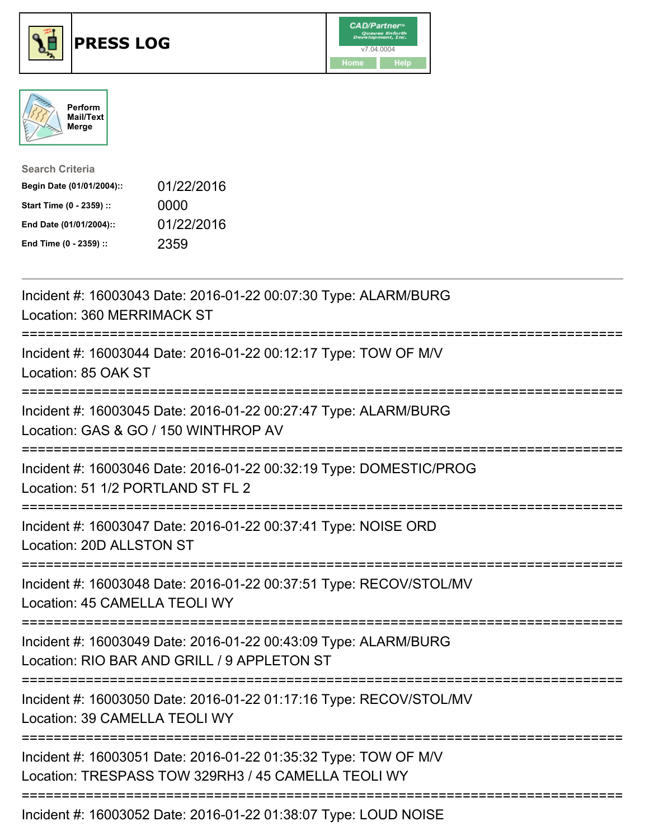





| <b>Search Criteria</b>    |            |
|---------------------------|------------|
| Begin Date (01/01/2004):: | 01/22/2016 |
| Start Time (0 - 2359) ::  | 0000       |
| End Date (01/01/2004)::   | 01/22/2016 |
| End Time (0 - 2359) ::    | 2359       |

| Incident #: 16003043 Date: 2016-01-22 00:07:30 Type: ALARM/BURG<br>Location: 360 MERRIMACK ST                                                            |
|----------------------------------------------------------------------------------------------------------------------------------------------------------|
| Incident #: 16003044 Date: 2016-01-22 00:12:17 Type: TOW OF M/V<br>Location: 85 OAK ST                                                                   |
| Incident #: 16003045 Date: 2016-01-22 00:27:47 Type: ALARM/BURG<br>Location: GAS & GO / 150 WINTHROP AV                                                  |
| Incident #: 16003046 Date: 2016-01-22 00:32:19 Type: DOMESTIC/PROG<br>Location: 51 1/2 PORTLAND ST FL 2<br>;==================                           |
| Incident #: 16003047 Date: 2016-01-22 00:37:41 Type: NOISE ORD<br>Location: 20D ALLSTON ST<br>-----------------                                          |
| Incident #: 16003048 Date: 2016-01-22 00:37:51 Type: RECOV/STOL/MV<br>Location: 45 CAMELLA TEOLI WY                                                      |
| Incident #: 16003049 Date: 2016-01-22 00:43:09 Type: ALARM/BURG<br>Location: RIO BAR AND GRILL / 9 APPLETON ST<br>:==================================    |
| Incident #: 16003050 Date: 2016-01-22 01:17:16 Type: RECOV/STOL/MV<br>Location: 39 CAMELLA TEOLI WY<br>:=======================<br>===================== |
| Incident #: 16003051 Date: 2016-01-22 01:35:32 Type: TOW OF M/V<br>Location: TRESPASS TOW 329RH3 / 45 CAMELLA TEOLI WY                                   |
| Incident #: 16003052 Date: 2016-01-22 01:38:07 Type: LOUD NOISE                                                                                          |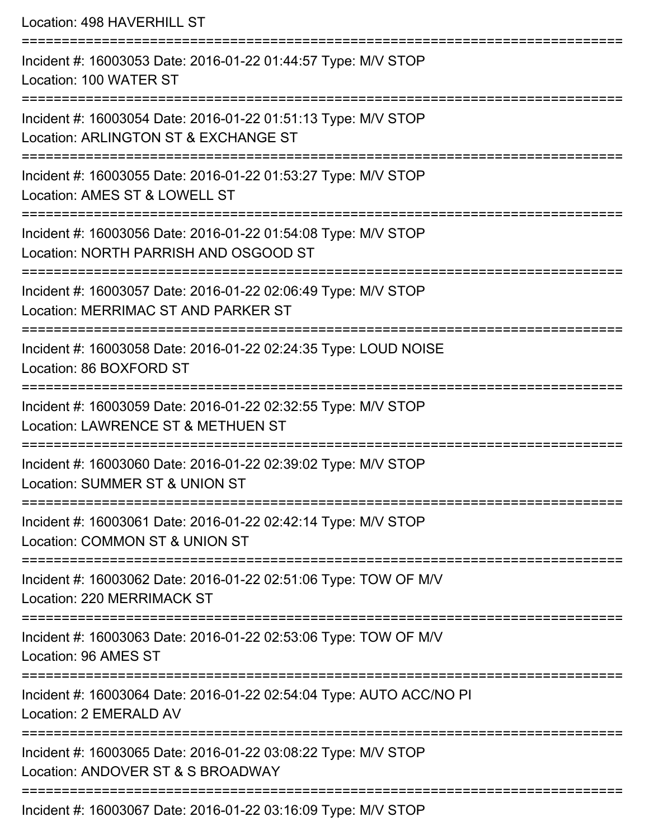Location: 498 HAVERHILL ST =========================================================================== Incident #: 16003053 Date: 2016-01-22 01:44:57 Type: M/V STOP Location: 100 WATER ST =========================================================================== Incident #: 16003054 Date: 2016-01-22 01:51:13 Type: M/V STOP Location: ARLINGTON ST & EXCHANGE ST =========================================================================== Incident #: 16003055 Date: 2016-01-22 01:53:27 Type: M/V STOP Location: AMES ST & LOWELL ST =========================================================================== Incident #: 16003056 Date: 2016-01-22 01:54:08 Type: M/V STOP Location: NORTH PARRISH AND OSGOOD ST =========================================================================== Incident #: 16003057 Date: 2016-01-22 02:06:49 Type: M/V STOP Location: MERRIMAC ST AND PARKER ST =========================================================================== Incident #: 16003058 Date: 2016-01-22 02:24:35 Type: LOUD NOISE Location: 86 BOXFORD ST =========================================================================== Incident #: 16003059 Date: 2016-01-22 02:32:55 Type: M/V STOP Location: LAWRENCE ST & METHUEN ST =========================================================================== Incident #: 16003060 Date: 2016-01-22 02:39:02 Type: M/V STOP Location: SUMMER ST & UNION ST =========================================================================== Incident #: 16003061 Date: 2016-01-22 02:42:14 Type: M/V STOP Location: COMMON ST & UNION ST =========================================================================== Incident #: 16003062 Date: 2016-01-22 02:51:06 Type: TOW OF M/V Location: 220 MERRIMACK ST =========================================================================== Incident #: 16003063 Date: 2016-01-22 02:53:06 Type: TOW OF M/V Location: 96 AMES ST =========================================================================== Incident #: 16003064 Date: 2016-01-22 02:54:04 Type: AUTO ACC/NO PI Location: 2 EMERALD AV =========================================================================== Incident #: 16003065 Date: 2016-01-22 03:08:22 Type: M/V STOP Location: ANDOVER ST & S BROADWAY ===========================================================================

Incident #: 16003067 Date: 2016-01-22 03:16:09 Type: M/V STOP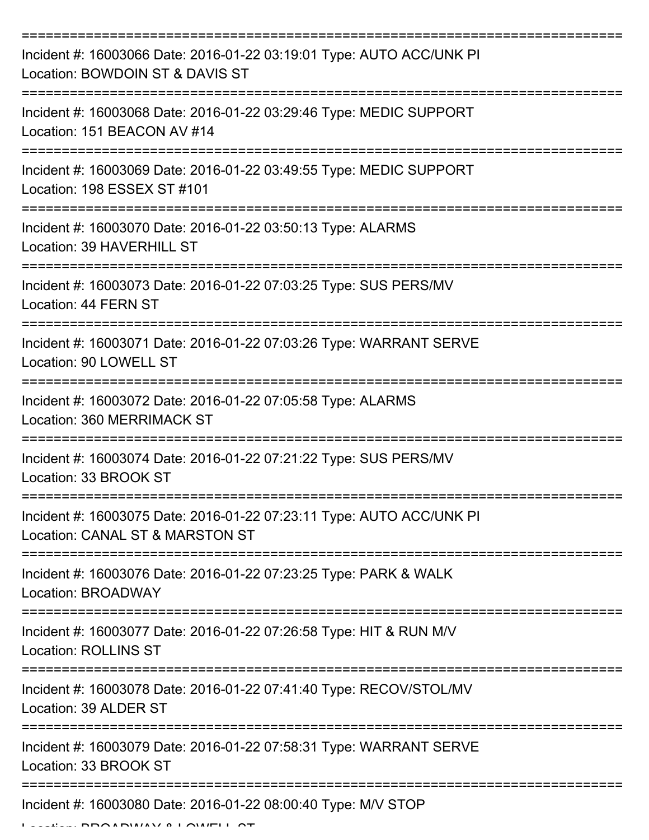| Incident #: 16003066 Date: 2016-01-22 03:19:01 Type: AUTO ACC/UNK PI<br>Location: BOWDOIN ST & DAVIS ST |
|---------------------------------------------------------------------------------------------------------|
| Incident #: 16003068 Date: 2016-01-22 03:29:46 Type: MEDIC SUPPORT<br>Location: 151 BEACON AV #14       |
| Incident #: 16003069 Date: 2016-01-22 03:49:55 Type: MEDIC SUPPORT<br>Location: 198 ESSEX ST #101       |
| Incident #: 16003070 Date: 2016-01-22 03:50:13 Type: ALARMS<br>Location: 39 HAVERHILL ST                |
| Incident #: 16003073 Date: 2016-01-22 07:03:25 Type: SUS PERS/MV<br>Location: 44 FERN ST                |
| Incident #: 16003071 Date: 2016-01-22 07:03:26 Type: WARRANT SERVE<br>Location: 90 LOWELL ST            |
| Incident #: 16003072 Date: 2016-01-22 07:05:58 Type: ALARMS<br>Location: 360 MERRIMACK ST               |
| Incident #: 16003074 Date: 2016-01-22 07:21:22 Type: SUS PERS/MV<br>Location: 33 BROOK ST               |
| Incident #: 16003075 Date: 2016-01-22 07:23:11 Type: AUTO ACC/UNK PI<br>Location: CANAL ST & MARSTON ST |
| Incident #: 16003076 Date: 2016-01-22 07:23:25 Type: PARK & WALK<br>Location: BROADWAY                  |
| Incident #: 16003077 Date: 2016-01-22 07:26:58 Type: HIT & RUN M/V<br><b>Location: ROLLINS ST</b>       |
| Incident #: 16003078 Date: 2016-01-22 07:41:40 Type: RECOV/STOL/MV<br>Location: 39 ALDER ST             |
| Incident #: 16003079 Date: 2016-01-22 07:58:31 Type: WARRANT SERVE<br>Location: 33 BROOK ST             |
| Incident #: 16003080 Date: 2016-01-22 08:00:40 Type: M/V STOP                                           |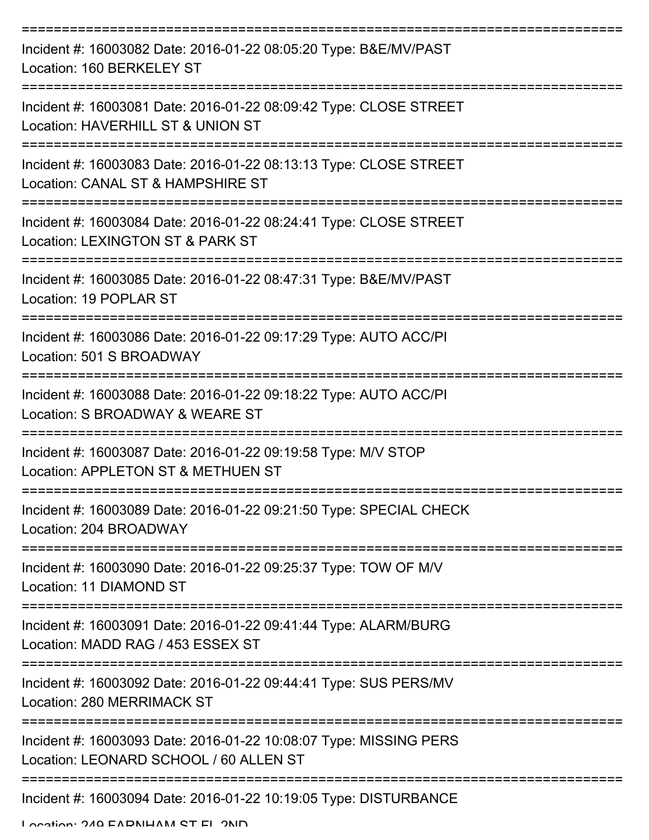| Incident #: 16003082 Date: 2016-01-22 08:05:20 Type: B&E/MV/PAST<br>Location: 160 BERKELEY ST               |
|-------------------------------------------------------------------------------------------------------------|
| Incident #: 16003081 Date: 2016-01-22 08:09:42 Type: CLOSE STREET<br>Location: HAVERHILL ST & UNION ST      |
| Incident #: 16003083 Date: 2016-01-22 08:13:13 Type: CLOSE STREET<br>Location: CANAL ST & HAMPSHIRE ST      |
| Incident #: 16003084 Date: 2016-01-22 08:24:41 Type: CLOSE STREET<br>Location: LEXINGTON ST & PARK ST       |
| Incident #: 16003085 Date: 2016-01-22 08:47:31 Type: B&E/MV/PAST<br>Location: 19 POPLAR ST                  |
| Incident #: 16003086 Date: 2016-01-22 09:17:29 Type: AUTO ACC/PI<br>Location: 501 S BROADWAY                |
| Incident #: 16003088 Date: 2016-01-22 09:18:22 Type: AUTO ACC/PI<br>Location: S BROADWAY & WEARE ST         |
| Incident #: 16003087 Date: 2016-01-22 09:19:58 Type: M/V STOP<br>Location: APPLETON ST & METHUEN ST         |
| Incident #: 16003089 Date: 2016-01-22 09:21:50 Type: SPECIAL CHECK<br>Location: 204 BROADWAY                |
| Incident #: 16003090 Date: 2016-01-22 09:25:37 Type: TOW OF M/V<br>Location: 11 DIAMOND ST                  |
| Incident #: 16003091 Date: 2016-01-22 09:41:44 Type: ALARM/BURG<br>Location: MADD RAG / 453 ESSEX ST        |
| Incident #: 16003092 Date: 2016-01-22 09:44:41 Type: SUS PERS/MV<br><b>Location: 280 MERRIMACK ST</b>       |
| Incident #: 16003093 Date: 2016-01-22 10:08:07 Type: MISSING PERS<br>Location: LEONARD SCHOOL / 60 ALLEN ST |
| Incident #: 16003094 Date: 2016-01-22 10:19:05 Type: DISTURBANCE                                            |

Location: 240 EADNIHAM ST EL 2ND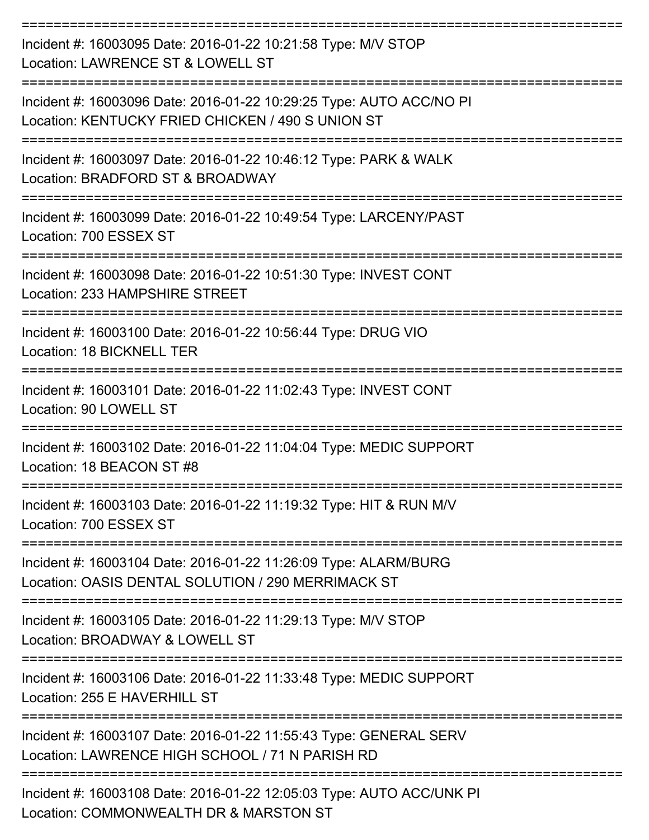| Incident #: 16003095 Date: 2016-01-22 10:21:58 Type: M/V STOP<br>Location: LAWRENCE ST & LOWELL ST                       |
|--------------------------------------------------------------------------------------------------------------------------|
| Incident #: 16003096 Date: 2016-01-22 10:29:25 Type: AUTO ACC/NO PI<br>Location: KENTUCKY FRIED CHICKEN / 490 S UNION ST |
| Incident #: 16003097 Date: 2016-01-22 10:46:12 Type: PARK & WALK<br>Location: BRADFORD ST & BROADWAY                     |
| Incident #: 16003099 Date: 2016-01-22 10:49:54 Type: LARCENY/PAST<br>Location: 700 ESSEX ST                              |
| ----------------<br>Incident #: 16003098 Date: 2016-01-22 10:51:30 Type: INVEST CONT<br>Location: 233 HAMPSHIRE STREET   |
| Incident #: 16003100 Date: 2016-01-22 10:56:44 Type: DRUG VIO<br>Location: 18 BICKNELL TER                               |
| Incident #: 16003101 Date: 2016-01-22 11:02:43 Type: INVEST CONT<br>Location: 90 LOWELL ST                               |
| Incident #: 16003102 Date: 2016-01-22 11:04:04 Type: MEDIC SUPPORT<br>Location: 18 BEACON ST #8                          |
| Incident #: 16003103 Date: 2016-01-22 11:19:32 Type: HIT & RUN M/V<br>Location: 700 ESSEX ST                             |
| Incident #: 16003104 Date: 2016-01-22 11:26:09 Type: ALARM/BURG<br>Location: OASIS DENTAL SOLUTION / 290 MERRIMACK ST    |
| Incident #: 16003105 Date: 2016-01-22 11:29:13 Type: M/V STOP<br>Location: BROADWAY & LOWELL ST                          |
| Incident #: 16003106 Date: 2016-01-22 11:33:48 Type: MEDIC SUPPORT<br>Location: 255 E HAVERHILL ST                       |
| Incident #: 16003107 Date: 2016-01-22 11:55:43 Type: GENERAL SERV<br>Location: LAWRENCE HIGH SCHOOL / 71 N PARISH RD     |
| Incident #: 16003108 Date: 2016-01-22 12:05:03 Type: AUTO ACC/UNK PI<br>Location: COMMONWEALTH DR & MARSTON ST           |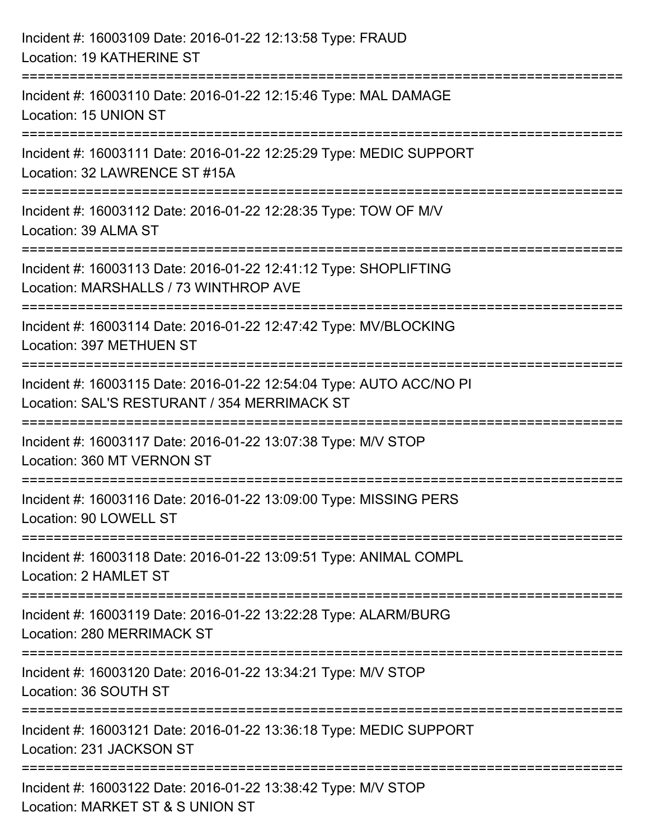| Incident #: 16003109 Date: 2016-01-22 12:13:58 Type: FRAUD<br>Location: 19 KATHERINE ST                                                       |
|-----------------------------------------------------------------------------------------------------------------------------------------------|
| Incident #: 16003110 Date: 2016-01-22 12:15:46 Type: MAL DAMAGE<br>Location: 15 UNION ST                                                      |
| :=====================================<br>Incident #: 16003111 Date: 2016-01-22 12:25:29 Type: MEDIC SUPPORT<br>Location: 32 LAWRENCE ST #15A |
| Incident #: 16003112 Date: 2016-01-22 12:28:35 Type: TOW OF M/V<br>Location: 39 ALMA ST<br>:====================================              |
| Incident #: 16003113 Date: 2016-01-22 12:41:12 Type: SHOPLIFTING<br>Location: MARSHALLS / 73 WINTHROP AVE                                     |
| Incident #: 16003114 Date: 2016-01-22 12:47:42 Type: MV/BLOCKING<br>Location: 397 METHUEN ST                                                  |
| Incident #: 16003115 Date: 2016-01-22 12:54:04 Type: AUTO ACC/NO PI<br>Location: SAL'S RESTURANT / 354 MERRIMACK ST                           |
| Incident #: 16003117 Date: 2016-01-22 13:07:38 Type: M/V STOP<br>Location: 360 MT VERNON ST                                                   |
| Incident #: 16003116 Date: 2016-01-22 13:09:00 Type: MISSING PERS<br>Location: 90 LOWELL ST                                                   |
| Incident #: 16003118 Date: 2016-01-22 13:09:51 Type: ANIMAL COMPL<br>Location: 2 HAMLET ST                                                    |
| Incident #: 16003119 Date: 2016-01-22 13:22:28 Type: ALARM/BURG<br><b>Location: 280 MERRIMACK ST</b>                                          |
| Incident #: 16003120 Date: 2016-01-22 13:34:21 Type: M/V STOP<br>Location: 36 SOUTH ST                                                        |
| Incident #: 16003121 Date: 2016-01-22 13:36:18 Type: MEDIC SUPPORT<br>Location: 231 JACKSON ST                                                |
| Incident #: 16003122 Date: 2016-01-22 13:38:42 Type: M/V STOP<br>Location: MARKET ST & S UNION ST                                             |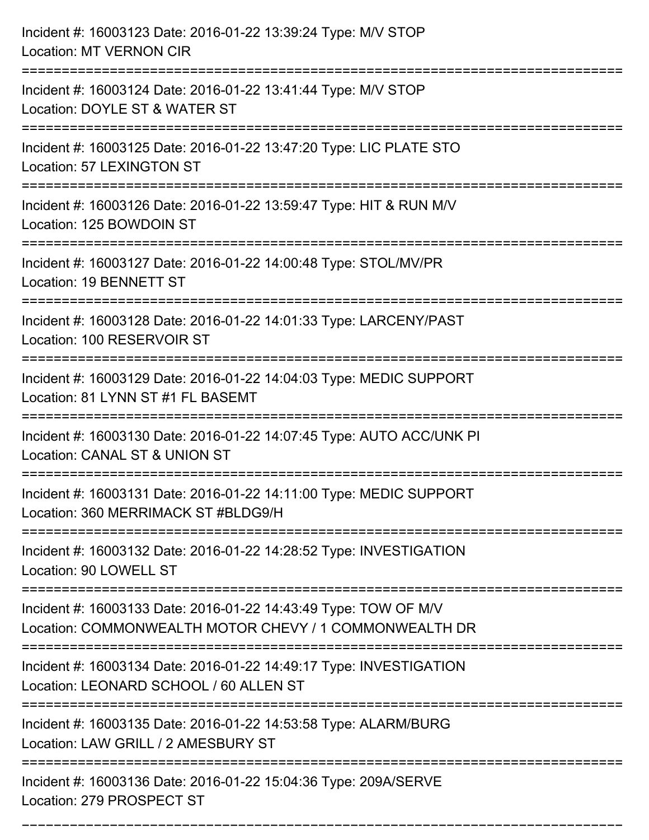| Incident #: 16003123 Date: 2016-01-22 13:39:24 Type: M/V STOP<br><b>Location: MT VERNON CIR</b>                                                 |
|-------------------------------------------------------------------------------------------------------------------------------------------------|
| Incident #: 16003124 Date: 2016-01-22 13:41:44 Type: M/V STOP<br>Location: DOYLE ST & WATER ST                                                  |
| Incident #: 16003125 Date: 2016-01-22 13:47:20 Type: LIC PLATE STO<br>Location: 57 LEXINGTON ST                                                 |
| Incident #: 16003126 Date: 2016-01-22 13:59:47 Type: HIT & RUN M/V<br>Location: 125 BOWDOIN ST                                                  |
| Incident #: 16003127 Date: 2016-01-22 14:00:48 Type: STOL/MV/PR<br>Location: 19 BENNETT ST                                                      |
| Incident #: 16003128 Date: 2016-01-22 14:01:33 Type: LARCENY/PAST<br>Location: 100 RESERVOIR ST                                                 |
| Incident #: 16003129 Date: 2016-01-22 14:04:03 Type: MEDIC SUPPORT<br>Location: 81 LYNN ST #1 FL BASEMT                                         |
| Incident #: 16003130 Date: 2016-01-22 14:07:45 Type: AUTO ACC/UNK PI<br>Location: CANAL ST & UNION ST                                           |
| Incident #: 16003131 Date: 2016-01-22 14:11:00 Type: MEDIC SUPPORT<br>Location: 360 MERRIMACK ST #BLDG9/H                                       |
| Incident #: 16003132 Date: 2016-01-22 14:28:52 Type: INVESTIGATION<br>Location: 90 LOWELL ST                                                    |
| Incident #: 16003133 Date: 2016-01-22 14:43:49 Type: TOW OF M/V<br>Location: COMMONWEALTH MOTOR CHEVY / 1 COMMONWEALTH DR                       |
| Incident #: 16003134 Date: 2016-01-22 14:49:17 Type: INVESTIGATION<br>Location: LEONARD SCHOOL / 60 ALLEN ST<br>=============================== |
| Incident #: 16003135 Date: 2016-01-22 14:53:58 Type: ALARM/BURG<br>Location: LAW GRILL / 2 AMESBURY ST                                          |
| Incident #: 16003136 Date: 2016-01-22 15:04:36 Type: 209A/SERVE<br>Location: 279 PROSPECT ST                                                    |

===========================================================================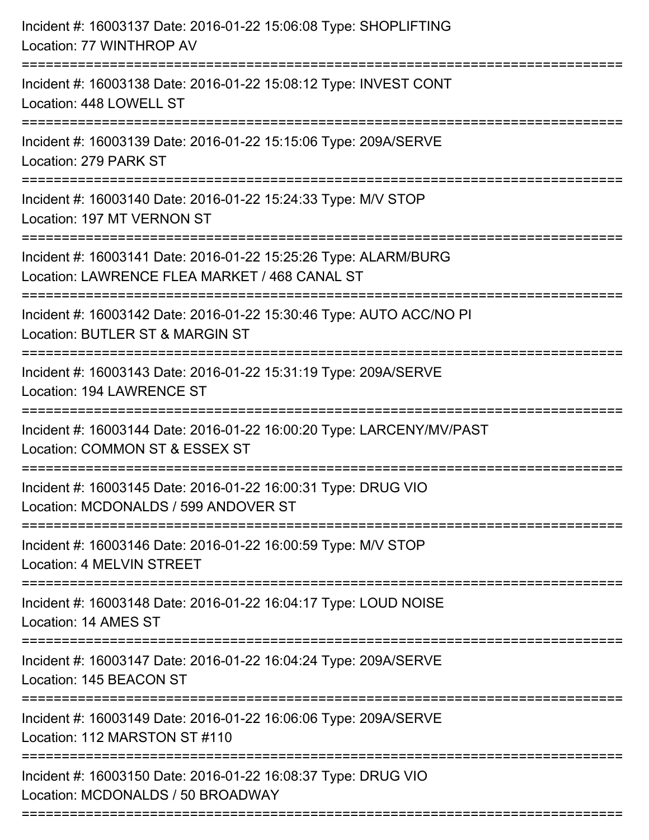| Incident #: 16003137 Date: 2016-01-22 15:06:08 Type: SHOPLIFTING<br>Location: 77 WINTHROP AV                                                          |
|-------------------------------------------------------------------------------------------------------------------------------------------------------|
| ====================================<br>Incident #: 16003138 Date: 2016-01-22 15:08:12 Type: INVEST CONT<br>Location: 448 LOWELL ST<br>-------------- |
| Incident #: 16003139 Date: 2016-01-22 15:15:06 Type: 209A/SERVE<br>Location: 279 PARK ST                                                              |
| Incident #: 16003140 Date: 2016-01-22 15:24:33 Type: M/V STOP<br>Location: 197 MT VERNON ST                                                           |
| Incident #: 16003141 Date: 2016-01-22 15:25:26 Type: ALARM/BURG<br>Location: LAWRENCE FLEA MARKET / 468 CANAL ST                                      |
| Incident #: 16003142 Date: 2016-01-22 15:30:46 Type: AUTO ACC/NO PI<br>Location: BUTLER ST & MARGIN ST<br>-------------------------                   |
| Incident #: 16003143 Date: 2016-01-22 15:31:19 Type: 209A/SERVE<br>Location: 194 LAWRENCE ST                                                          |
| Incident #: 16003144 Date: 2016-01-22 16:00:20 Type: LARCENY/MV/PAST<br>Location: COMMON ST & ESSEX ST                                                |
| Incident #: 16003145 Date: 2016-01-22 16:00:31 Type: DRUG VIO<br>Location: MCDONALDS / 599 ANDOVER ST                                                 |
| Incident #: 16003146 Date: 2016-01-22 16:00:59 Type: M/V STOP<br>Location: 4 MELVIN STREET                                                            |
| Incident #: 16003148 Date: 2016-01-22 16:04:17 Type: LOUD NOISE<br>Location: 14 AMES ST                                                               |
| Incident #: 16003147 Date: 2016-01-22 16:04:24 Type: 209A/SERVE<br>Location: 145 BEACON ST                                                            |
| Incident #: 16003149 Date: 2016-01-22 16:06:06 Type: 209A/SERVE<br>Location: 112 MARSTON ST #110                                                      |
| Incident #: 16003150 Date: 2016-01-22 16:08:37 Type: DRUG VIO<br>Location: MCDONALDS / 50 BROADWAY                                                    |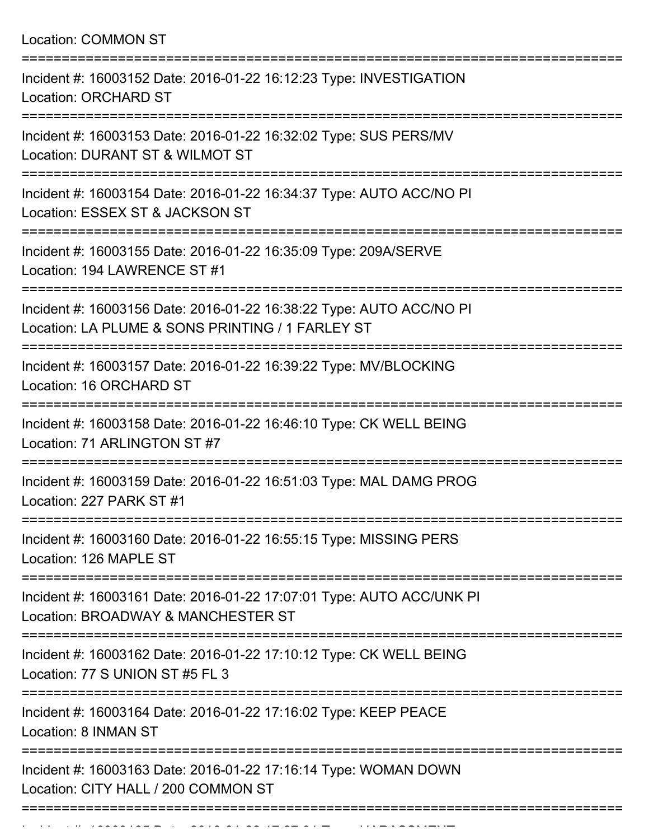|  | Location: COMMON ST |  |
|--|---------------------|--|
|--|---------------------|--|

| Incident #: 16003152 Date: 2016-01-22 16:12:23 Type: INVESTIGATION<br><b>Location: ORCHARD ST</b>                       |
|-------------------------------------------------------------------------------------------------------------------------|
| Incident #: 16003153 Date: 2016-01-22 16:32:02 Type: SUS PERS/MV<br>Location: DURANT ST & WILMOT ST                     |
| Incident #: 16003154 Date: 2016-01-22 16:34:37 Type: AUTO ACC/NO PI<br>Location: ESSEX ST & JACKSON ST                  |
| Incident #: 16003155 Date: 2016-01-22 16:35:09 Type: 209A/SERVE<br>Location: 194 LAWRENCE ST #1                         |
| Incident #: 16003156 Date: 2016-01-22 16:38:22 Type: AUTO ACC/NO PI<br>Location: LA PLUME & SONS PRINTING / 1 FARLEY ST |
| Incident #: 16003157 Date: 2016-01-22 16:39:22 Type: MV/BLOCKING<br>Location: 16 ORCHARD ST                             |
| Incident #: 16003158 Date: 2016-01-22 16:46:10 Type: CK WELL BEING<br>Location: 71 ARLINGTON ST #7                      |
| Incident #: 16003159 Date: 2016-01-22 16:51:03 Type: MAL DAMG PROG<br>Location: 227 PARK ST #1                          |
| Incident #: 16003160 Date: 2016-01-22 16:55:15 Type: MISSING PERS<br>Location: 126 MAPLE ST                             |
| Incident #: 16003161 Date: 2016-01-22 17:07:01 Type: AUTO ACC/UNK PI<br>Location: BROADWAY & MANCHESTER ST              |
| Incident #: 16003162 Date: 2016-01-22 17:10:12 Type: CK WELL BEING<br>Location: 77 S UNION ST #5 FL 3                   |
| Incident #: 16003164 Date: 2016-01-22 17:16:02 Type: KEEP PEACE<br>Location: 8 INMAN ST                                 |
| Incident #: 16003163 Date: 2016-01-22 17:16:14 Type: WOMAN DOWN<br>Location: CITY HALL / 200 COMMON ST                  |
|                                                                                                                         |

Incident #: 16003165 Date: 2016 01 22 17:27:01 Type: HARASSMENT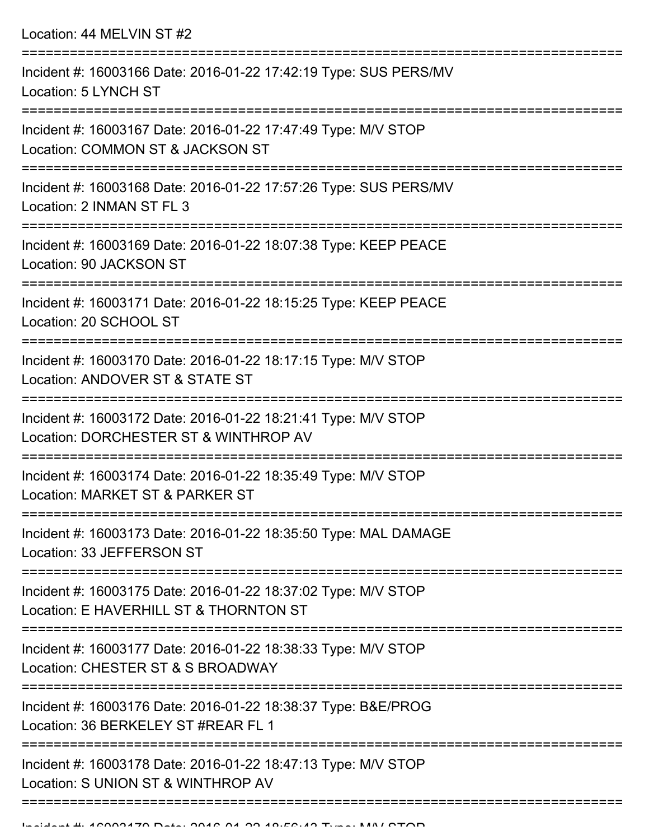=========================================================================== Incident #: 16003167 Date: 2016-01-22 17:47:49 Type: M/V STOP =========================================================================== Incident #: 16003168 Date: 2016-01-22 17:57:26 Type: SUS PERS/MV Location: 2 INMAN ST FL 3 =========================================================================== Incident #: 16003169 Date: 2016-01-22 18:07:38 Type: KEEP PEACE Location: 90 JACKSON ST =========================================================================== Incident #: 16003171 Date: 2016-01-22 18:15:25 Type: KEEP PEACE Location: 20 SCHOOL ST =========================================================================== Incident #: 16003170 Date: 2016-01-22 18:17:15 Type: M/V STOP Location: ANDOVER ST & STATE ST =========================================================================== Incident #: 16003172 Date: 2016-01-22 18:21:41 Type: M/V STOP Location: DORCHESTER ST & WINTHROP AV =========================================================================== Incident #: 16003174 Date: 2016-01-22 18:35:49 Type: M/V STOP Location: MARKET ST & PARKER ST =========================================================================== Incident #: 16003173 Date: 2016-01-22 18:35:50 Type: MAL DAMAGE Location: 33 JEFFERSON ST =========================================================================== Incident #: 16003175 Date: 2016-01-22 18:37:02 Type: M/V STOP Location: E HAVERHILL ST & THORNTON ST =========================================================================== Incident #: 16003177 Date: 2016-01-22 18:38:33 Type: M/V STOP Location: CHESTER ST & S BROADWAY =========================================================================== Incident #: 16003176 Date: 2016-01-22 18:38:37 Type: B&E/PROG Location: 36 BERKELEY ST #REAR FL 1 =========================================================================== Incident #: 16003178 Date: 2016-01-22 18:47:13 Type: M/V STOP Location: S UNION ST & WINTHROP AV =============================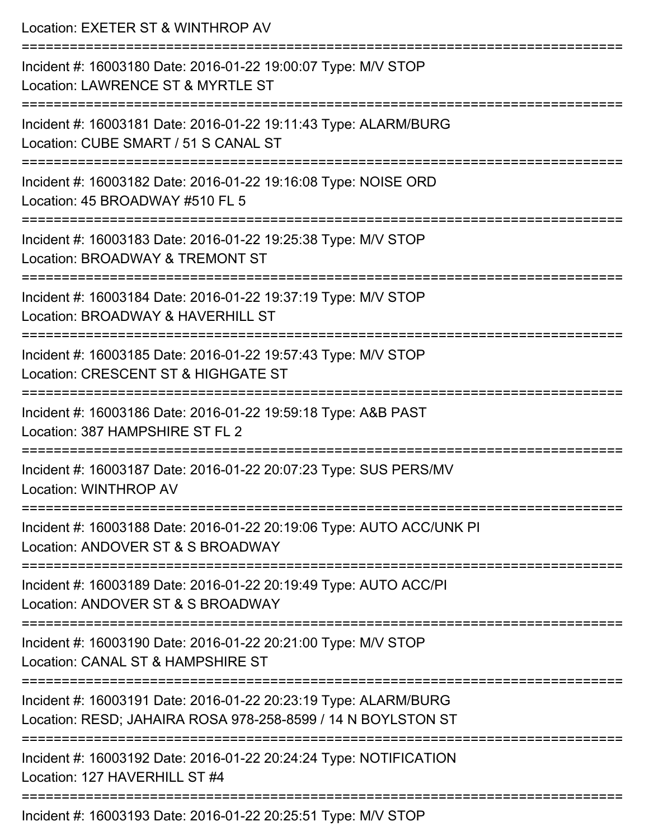| Location: EXETER ST & WINTHROP AV                                                                                                                      |
|--------------------------------------------------------------------------------------------------------------------------------------------------------|
| Incident #: 16003180 Date: 2016-01-22 19:00:07 Type: M/V STOP<br>Location: LAWRENCE ST & MYRTLE ST                                                     |
| :=======================<br>Incident #: 16003181 Date: 2016-01-22 19:11:43 Type: ALARM/BURG<br>Location: CUBE SMART / 51 S CANAL ST                    |
| Incident #: 16003182 Date: 2016-01-22 19:16:08 Type: NOISE ORD<br>Location: 45 BROADWAY #510 FL 5                                                      |
| Incident #: 16003183 Date: 2016-01-22 19:25:38 Type: M/V STOP<br>Location: BROADWAY & TREMONT ST                                                       |
| Incident #: 16003184 Date: 2016-01-22 19:37:19 Type: M/V STOP<br>Location: BROADWAY & HAVERHILL ST                                                     |
| Incident #: 16003185 Date: 2016-01-22 19:57:43 Type: M/V STOP<br>Location: CRESCENT ST & HIGHGATE ST                                                   |
| Incident #: 16003186 Date: 2016-01-22 19:59:18 Type: A&B PAST<br>Location: 387 HAMPSHIRE ST FL 2                                                       |
| =====================================<br>Incident #: 16003187 Date: 2016-01-22 20:07:23 Type: SUS PERS/MV<br>Location: WINTHROP AV                     |
| Incident #: 16003188 Date: 2016-01-22 20:19:06 Type: AUTO ACC/UNK PI<br>Location: ANDOVER ST & S BROADWAY                                              |
| Incident #: 16003189 Date: 2016-01-22 20:19:49 Type: AUTO ACC/PI<br>Location: ANDOVER ST & S BROADWAY                                                  |
| Incident #: 16003190 Date: 2016-01-22 20:21:00 Type: M/V STOP<br>Location: CANAL ST & HAMPSHIRE ST                                                     |
| :==================<br>Incident #: 16003191 Date: 2016-01-22 20:23:19 Type: ALARM/BURG<br>Location: RESD; JAHAIRA ROSA 978-258-8599 / 14 N BOYLSTON ST |
| Incident #: 16003192 Date: 2016-01-22 20:24:24 Type: NOTIFICATION<br>Location: 127 HAVERHILL ST #4                                                     |
|                                                                                                                                                        |

Incident #: 16003193 Date: 2016-01-22 20:25:51 Type: M/V STOP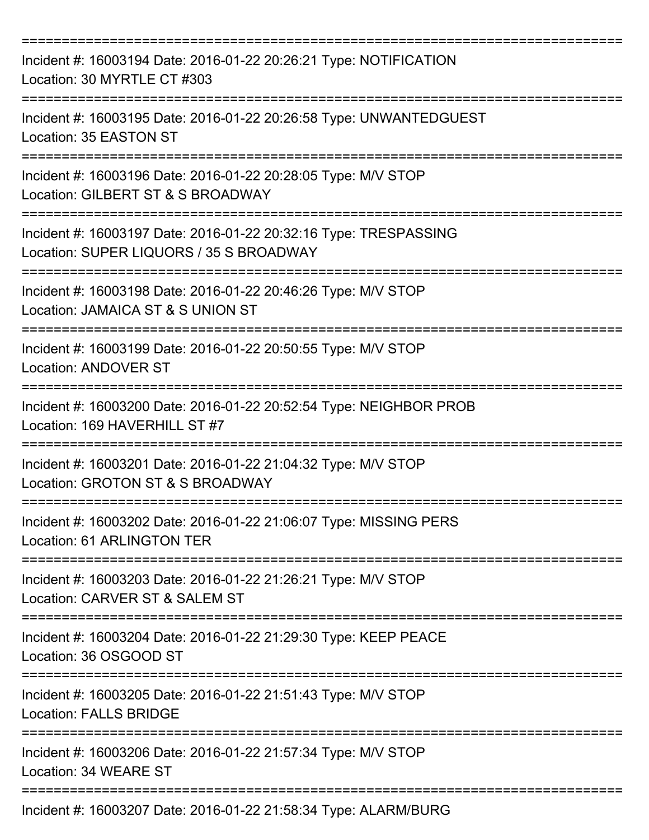| Incident #: 16003194 Date: 2016-01-22 20:26:21 Type: NOTIFICATION<br>Location: 30 MYRTLE CT #303            |
|-------------------------------------------------------------------------------------------------------------|
| Incident #: 16003195 Date: 2016-01-22 20:26:58 Type: UNWANTEDGUEST<br>Location: 35 EASTON ST                |
| Incident #: 16003196 Date: 2016-01-22 20:28:05 Type: M/V STOP<br>Location: GILBERT ST & S BROADWAY          |
| Incident #: 16003197 Date: 2016-01-22 20:32:16 Type: TRESPASSING<br>Location: SUPER LIQUORS / 35 S BROADWAY |
| Incident #: 16003198 Date: 2016-01-22 20:46:26 Type: M/V STOP<br>Location: JAMAICA ST & S UNION ST          |
| Incident #: 16003199 Date: 2016-01-22 20:50:55 Type: M/V STOP<br><b>Location: ANDOVER ST</b>                |
| Incident #: 16003200 Date: 2016-01-22 20:52:54 Type: NEIGHBOR PROB<br>Location: 169 HAVERHILL ST #7         |
| Incident #: 16003201 Date: 2016-01-22 21:04:32 Type: M/V STOP<br>Location: GROTON ST & S BROADWAY           |
| Incident #: 16003202 Date: 2016-01-22 21:06:07 Type: MISSING PERS<br>Location: 61 ARLINGTON TER             |
| Incident #: 16003203 Date: 2016-01-22 21:26:21 Type: M/V STOP<br>Location: CARVER ST & SALEM ST             |
| Incident #: 16003204 Date: 2016-01-22 21:29:30 Type: KEEP PEACE<br>Location: 36 OSGOOD ST                   |
| Incident #: 16003205 Date: 2016-01-22 21:51:43 Type: M/V STOP<br><b>Location: FALLS BRIDGE</b>              |
| Incident #: 16003206 Date: 2016-01-22 21:57:34 Type: M/V STOP<br>Location: 34 WEARE ST                      |
| Incident #: 16003207 Date: 2016-01-22 21:58:34 Type: ALARM/BURG                                             |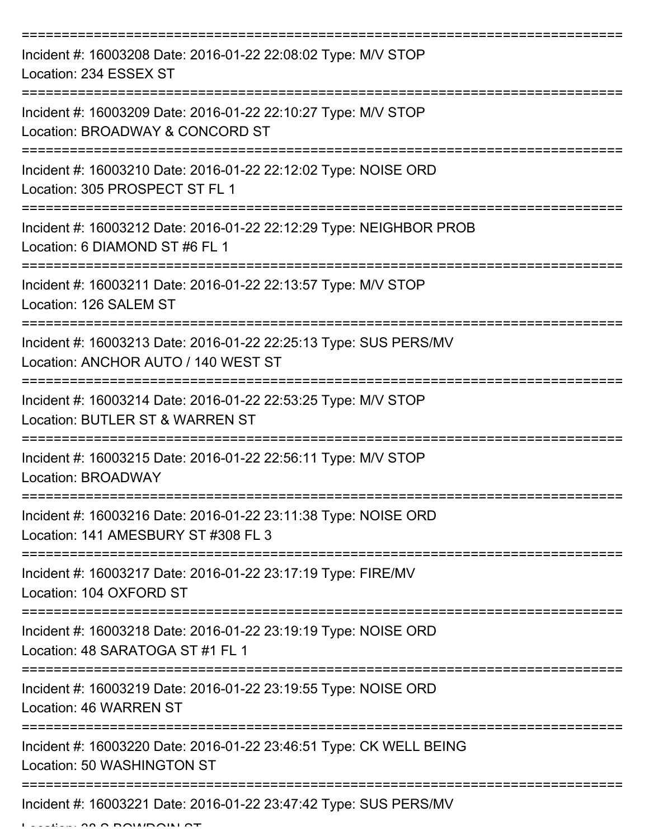| Incident #: 16003208 Date: 2016-01-22 22:08:02 Type: M/V STOP<br>Location: 234 ESSEX ST                          |
|------------------------------------------------------------------------------------------------------------------|
| ============<br>Incident #: 16003209 Date: 2016-01-22 22:10:27 Type: M/V STOP<br>Location: BROADWAY & CONCORD ST |
| Incident #: 16003210 Date: 2016-01-22 22:12:02 Type: NOISE ORD<br>Location: 305 PROSPECT ST FL 1                 |
| Incident #: 16003212 Date: 2016-01-22 22:12:29 Type: NEIGHBOR PROB<br>Location: 6 DIAMOND ST #6 FL 1             |
| Incident #: 16003211 Date: 2016-01-22 22:13:57 Type: M/V STOP<br>Location: 126 SALEM ST                          |
| Incident #: 16003213 Date: 2016-01-22 22:25:13 Type: SUS PERS/MV<br>Location: ANCHOR AUTO / 140 WEST ST          |
| Incident #: 16003214 Date: 2016-01-22 22:53:25 Type: M/V STOP<br>Location: BUTLER ST & WARREN ST                 |
| Incident #: 16003215 Date: 2016-01-22 22:56:11 Type: M/V STOP<br><b>Location: BROADWAY</b>                       |
| Incident #: 16003216 Date: 2016-01-22 23:11:38 Type: NOISE ORD<br>Location: 141 AMESBURY ST #308 FL 3            |
| Incident #: 16003217 Date: 2016-01-22 23:17:19 Type: FIRE/MV<br>Location: 104 OXFORD ST                          |
| Incident #: 16003218 Date: 2016-01-22 23:19:19 Type: NOISE ORD<br>Location: 48 SARATOGA ST #1 FL 1               |
| Incident #: 16003219 Date: 2016-01-22 23:19:55 Type: NOISE ORD<br>Location: 46 WARREN ST                         |
| Incident #: 16003220 Date: 2016-01-22 23:46:51 Type: CK WELL BEING<br>Location: 50 WASHINGTON ST                 |
| Incident #: 16003221 Date: 2016-01-22 23:47:42 Type: SUS PERS/MV                                                 |